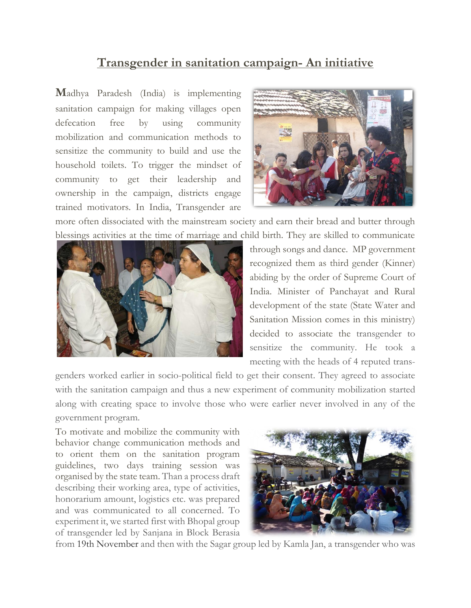## **Transgender in sanitation campaign- An initiative**

**M**adhya Paradesh (India) is implementing sanitation campaign for making villages open defecation free by using community mobilization and communication methods to sensitize the community to build and use the household toilets. To trigger the mindset of community to get their leadership and ownership in the campaign, districts engage trained motivators. In India, Transgender are



more often dissociated with the mainstream society and earn their bread and butter through blessings activities at the time of marriage and child birth. They are skilled to communicate



through songs and dance. MP government recognized them as third gender (Kinner) abiding by the order of Supreme Court of India. Minister of Panchayat and Rural development of the state (State Water and Sanitation Mission comes in this ministry) decided to associate the transgender to sensitize the community. He took a meeting with the heads of 4 reputed trans-

genders worked earlier in socio-political field to get their consent. They agreed to associate with the sanitation campaign and thus a new experiment of community mobilization started along with creating space to involve those who were earlier never involved in any of the government program.

To motivate and mobilize the community with behavior change communication methods and to orient them on the sanitation program guidelines, two days training session was organised by the state team. Than a process draft describing their working area, type of activities, honorarium amount, logistics etc. was prepared and was communicated to all concerned. To experiment it, we started first with Bhopal group of transgender led by Sanjana in Block Berasia



from 19th November and then with the Sagar group led by Kamla Jan, a transgender who was